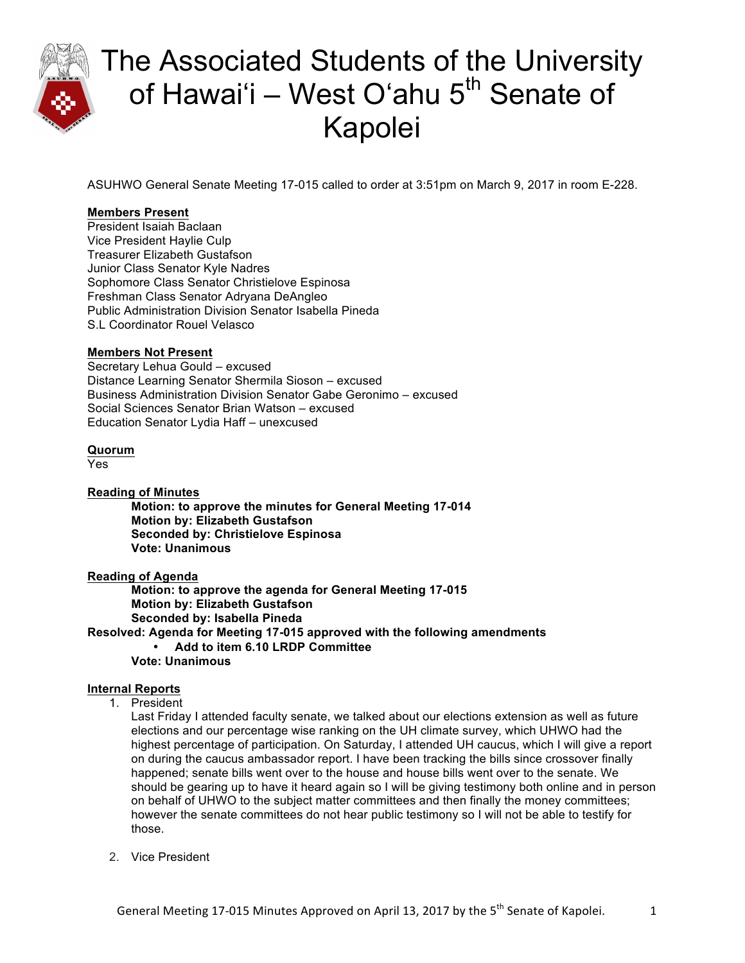

ASUHWO General Senate Meeting 17-015 called to order at 3:51pm on March 9, 2017 in room E-228.

### **Members Present**

President Isaiah Baclaan Vice President Haylie Culp Treasurer Elizabeth Gustafson Junior Class Senator Kyle Nadres Sophomore Class Senator Christielove Espinosa Freshman Class Senator Adryana DeAngleo Public Administration Division Senator Isabella Pineda S.L Coordinator Rouel Velasco

### **Members Not Present**

Secretary Lehua Gould – excused Distance Learning Senator Shermila Sioson – excused Business Administration Division Senator Gabe Geronimo – excused Social Sciences Senator Brian Watson – excused Education Senator Lydia Haff – unexcused

#### **Quorum**

Yes

### **Reading of Minutes**

**Motion: to approve the minutes for General Meeting 17-014 Motion by: Elizabeth Gustafson Seconded by: Christielove Espinosa Vote: Unanimous**

### **Reading of Agenda**

**Motion: to approve the agenda for General Meeting 17-015 Motion by: Elizabeth Gustafson Seconded by: Isabella Pineda**

**Resolved: Agenda for Meeting 17-015 approved with the following amendments** 

• **Add to item 6.10 LRDP Committee**

**Vote: Unanimous**

### **Internal Reports**

1. President

Last Friday I attended faculty senate, we talked about our elections extension as well as future elections and our percentage wise ranking on the UH climate survey, which UHWO had the highest percentage of participation. On Saturday, I attended UH caucus, which I will give a report on during the caucus ambassador report. I have been tracking the bills since crossover finally happened; senate bills went over to the house and house bills went over to the senate. We should be gearing up to have it heard again so I will be giving testimony both online and in person on behalf of UHWO to the subject matter committees and then finally the money committees; however the senate committees do not hear public testimony so I will not be able to testify for those.

2. Vice President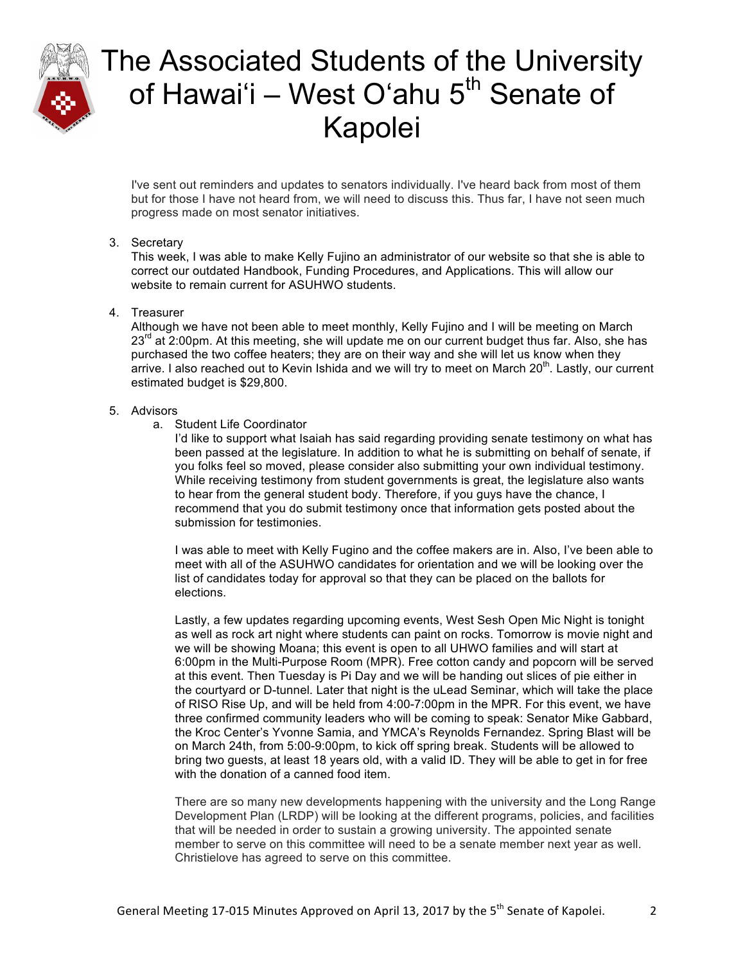

I've sent out reminders and updates to senators individually. I've heard back from most of them but for those I have not heard from, we will need to discuss this. Thus far, I have not seen much progress made on most senator initiatives.

### 3. Secretary

This week, I was able to make Kelly Fujino an administrator of our website so that she is able to correct our outdated Handbook, Funding Procedures, and Applications. This will allow our website to remain current for ASUHWO students.

#### 4. Treasurer

Although we have not been able to meet monthly, Kelly Fujino and I will be meeting on March  $23<sup>rd</sup>$  at 2:00pm. At this meeting, she will update me on our current budget thus far. Also, she has purchased the two coffee heaters; they are on their way and she will let us know when they arrive. I also reached out to Kevin Ishida and we will try to meet on March  $20<sup>th</sup>$ . Lastly, our current estimated budget is \$29,800.

#### 5. Advisors

a. Student Life Coordinator

I'd like to support what Isaiah has said regarding providing senate testimony on what has been passed at the legislature. In addition to what he is submitting on behalf of senate, if you folks feel so moved, please consider also submitting your own individual testimony. While receiving testimony from student governments is great, the legislature also wants to hear from the general student body. Therefore, if you guys have the chance, I recommend that you do submit testimony once that information gets posted about the submission for testimonies.

I was able to meet with Kelly Fugino and the coffee makers are in. Also, I've been able to meet with all of the ASUHWO candidates for orientation and we will be looking over the list of candidates today for approval so that they can be placed on the ballots for elections.

Lastly, a few updates regarding upcoming events, West Sesh Open Mic Night is tonight as well as rock art night where students can paint on rocks. Tomorrow is movie night and we will be showing Moana; this event is open to all UHWO families and will start at 6:00pm in the Multi-Purpose Room (MPR). Free cotton candy and popcorn will be served at this event. Then Tuesday is Pi Day and we will be handing out slices of pie either in the courtyard or D-tunnel. Later that night is the uLead Seminar, which will take the place of RISO Rise Up, and will be held from 4:00-7:00pm in the MPR. For this event, we have three confirmed community leaders who will be coming to speak: Senator Mike Gabbard, the Kroc Center's Yvonne Samia, and YMCA's Reynolds Fernandez. Spring Blast will be on March 24th, from 5:00-9:00pm, to kick off spring break. Students will be allowed to bring two guests, at least 18 years old, with a valid ID. They will be able to get in for free with the donation of a canned food item.

There are so many new developments happening with the university and the Long Range Development Plan (LRDP) will be looking at the different programs, policies, and facilities that will be needed in order to sustain a growing university. The appointed senate member to serve on this committee will need to be a senate member next year as well. Christielove has agreed to serve on this committee.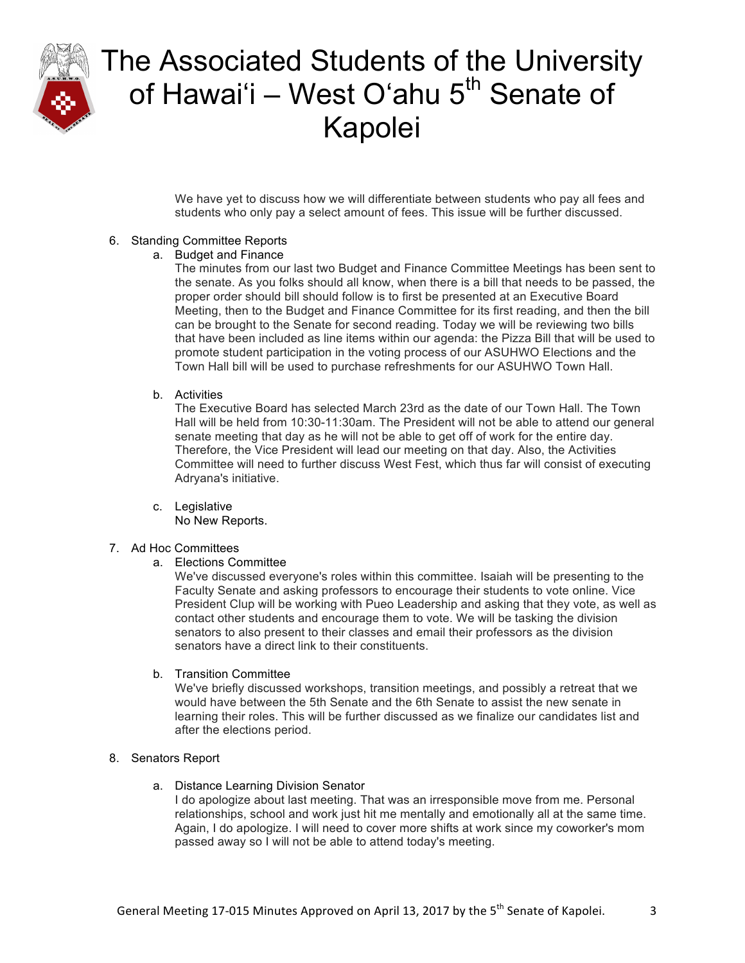

We have yet to discuss how we will differentiate between students who pay all fees and students who only pay a select amount of fees. This issue will be further discussed.

### 6. Standing Committee Reports

a. Budget and Finance

The minutes from our last two Budget and Finance Committee Meetings has been sent to the senate. As you folks should all know, when there is a bill that needs to be passed, the proper order should bill should follow is to first be presented at an Executive Board Meeting, then to the Budget and Finance Committee for its first reading, and then the bill can be brought to the Senate for second reading. Today we will be reviewing two bills that have been included as line items within our agenda: the Pizza Bill that will be used to promote student participation in the voting process of our ASUHWO Elections and the Town Hall bill will be used to purchase refreshments for our ASUHWO Town Hall.

b. Activities

The Executive Board has selected March 23rd as the date of our Town Hall. The Town Hall will be held from 10:30-11:30am. The President will not be able to attend our general senate meeting that day as he will not be able to get off of work for the entire day. Therefore, the Vice President will lead our meeting on that day. Also, the Activities Committee will need to further discuss West Fest, which thus far will consist of executing Adryana's initiative.

c. Legislative No New Reports.

### 7. Ad Hoc Committees

a. Elections Committee

We've discussed everyone's roles within this committee. Isaiah will be presenting to the Faculty Senate and asking professors to encourage their students to vote online. Vice President Clup will be working with Pueo Leadership and asking that they vote, as well as contact other students and encourage them to vote. We will be tasking the division senators to also present to their classes and email their professors as the division senators have a direct link to their constituents.

b. Transition Committee

We've briefly discussed workshops, transition meetings, and possibly a retreat that we would have between the 5th Senate and the 6th Senate to assist the new senate in learning their roles. This will be further discussed as we finalize our candidates list and after the elections period.

### 8. Senators Report

a. Distance Learning Division Senator

I do apologize about last meeting. That was an irresponsible move from me. Personal relationships, school and work just hit me mentally and emotionally all at the same time. Again, I do apologize. I will need to cover more shifts at work since my coworker's mom passed away so I will not be able to attend today's meeting.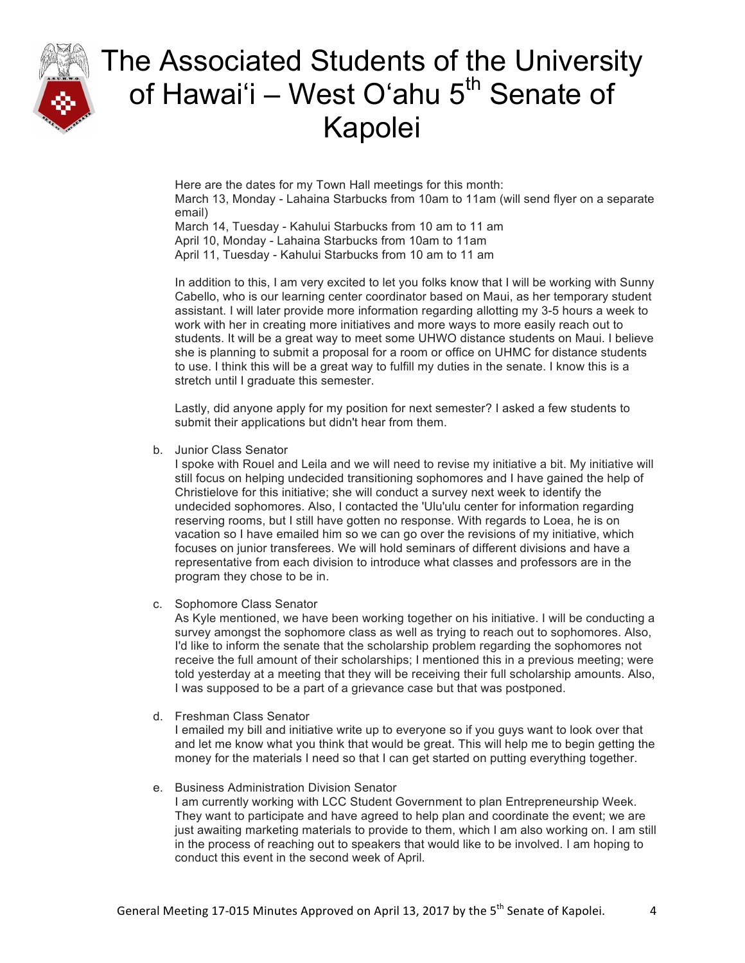

Here are the dates for my Town Hall meetings for this month: March 13, Monday - Lahaina Starbucks from 10am to 11am (will send flyer on a separate email)

March 14, Tuesday - Kahului Starbucks from 10 am to 11 am April 10, Monday - Lahaina Starbucks from 10am to 11am April 11, Tuesday - Kahului Starbucks from 10 am to 11 am

In addition to this, I am very excited to let you folks know that I will be working with Sunny Cabello, who is our learning center coordinator based on Maui, as her temporary student assistant. I will later provide more information regarding allotting my 3-5 hours a week to work with her in creating more initiatives and more ways to more easily reach out to students. It will be a great way to meet some UHWO distance students on Maui. I believe she is planning to submit a proposal for a room or office on UHMC for distance students to use. I think this will be a great way to fulfill my duties in the senate. I know this is a stretch until I graduate this semester.

Lastly, did anyone apply for my position for next semester? I asked a few students to submit their applications but didn't hear from them.

b. Junior Class Senator

I spoke with Rouel and Leila and we will need to revise my initiative a bit. My initiative will still focus on helping undecided transitioning sophomores and I have gained the help of Christielove for this initiative; she will conduct a survey next week to identify the undecided sophomores. Also, I contacted the 'Ulu'ulu center for information regarding reserving rooms, but I still have gotten no response. With regards to Loea, he is on vacation so I have emailed him so we can go over the revisions of my initiative, which focuses on junior transferees. We will hold seminars of different divisions and have a representative from each division to introduce what classes and professors are in the program they chose to be in.

c. Sophomore Class Senator

As Kyle mentioned, we have been working together on his initiative. I will be conducting a survey amongst the sophomore class as well as trying to reach out to sophomores. Also, I'd like to inform the senate that the scholarship problem regarding the sophomores not receive the full amount of their scholarships; I mentioned this in a previous meeting; were told yesterday at a meeting that they will be receiving their full scholarship amounts. Also, I was supposed to be a part of a grievance case but that was postponed.

d. Freshman Class Senator

I emailed my bill and initiative write up to everyone so if you guys want to look over that and let me know what you think that would be great. This will help me to begin getting the money for the materials I need so that I can get started on putting everything together.

e. Business Administration Division Senator

I am currently working with LCC Student Government to plan Entrepreneurship Week. They want to participate and have agreed to help plan and coordinate the event; we are just awaiting marketing materials to provide to them, which I am also working on. I am still in the process of reaching out to speakers that would like to be involved. I am hoping to conduct this event in the second week of April.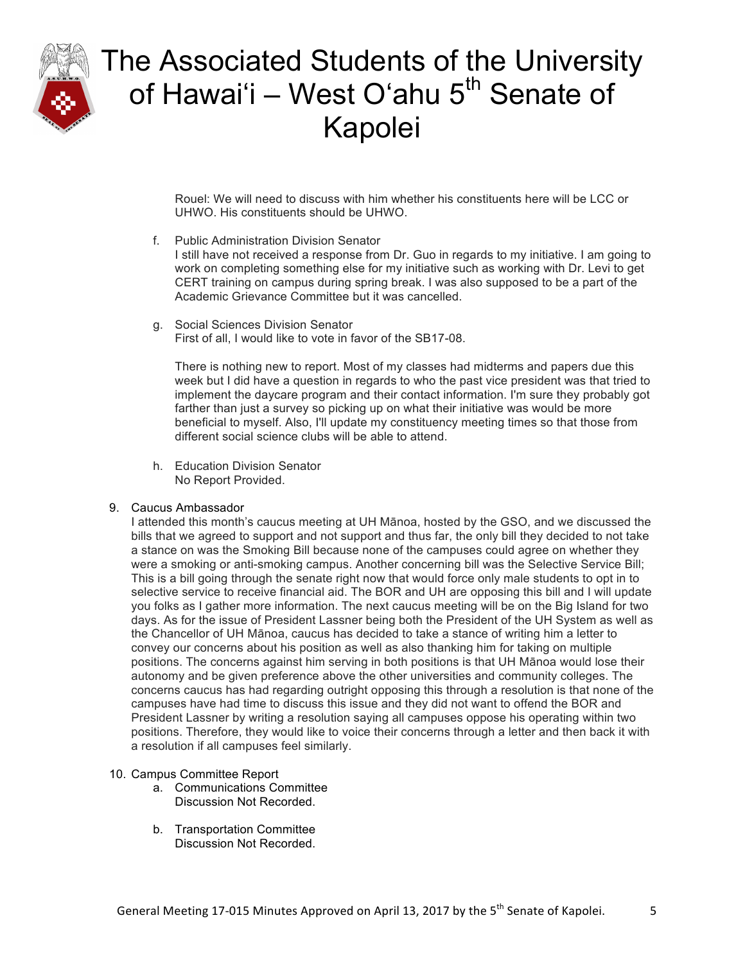

Rouel: We will need to discuss with him whether his constituents here will be LCC or UHWO. His constituents should be UHWO.

f. Public Administration Division Senator

I still have not received a response from Dr. Guo in regards to my initiative. I am going to work on completing something else for my initiative such as working with Dr. Levi to get CERT training on campus during spring break. I was also supposed to be a part of the Academic Grievance Committee but it was cancelled.

g. Social Sciences Division Senator First of all, I would like to vote in favor of the SB17-08.

There is nothing new to report. Most of my classes had midterms and papers due this week but I did have a question in regards to who the past vice president was that tried to implement the daycare program and their contact information. I'm sure they probably got farther than just a survey so picking up on what their initiative was would be more beneficial to myself. Also, I'll update my constituency meeting times so that those from different social science clubs will be able to attend.

h. Education Division Senator No Report Provided.

### 9. Caucus Ambassador

I attended this month's caucus meeting at UH Mānoa, hosted by the GSO, and we discussed the bills that we agreed to support and not support and thus far, the only bill they decided to not take a stance on was the Smoking Bill because none of the campuses could agree on whether they were a smoking or anti-smoking campus. Another concerning bill was the Selective Service Bill; This is a bill going through the senate right now that would force only male students to opt in to selective service to receive financial aid. The BOR and UH are opposing this bill and I will update you folks as I gather more information. The next caucus meeting will be on the Big Island for two days. As for the issue of President Lassner being both the President of the UH System as well as the Chancellor of UH Mānoa, caucus has decided to take a stance of writing him a letter to convey our concerns about his position as well as also thanking him for taking on multiple positions. The concerns against him serving in both positions is that UH Mānoa would lose their autonomy and be given preference above the other universities and community colleges. The concerns caucus has had regarding outright opposing this through a resolution is that none of the campuses have had time to discuss this issue and they did not want to offend the BOR and President Lassner by writing a resolution saying all campuses oppose his operating within two positions. Therefore, they would like to voice their concerns through a letter and then back it with a resolution if all campuses feel similarly.

#### 10. Campus Committee Report

- a. Communications Committee Discussion Not Recorded.
- b. Transportation Committee Discussion Not Recorded.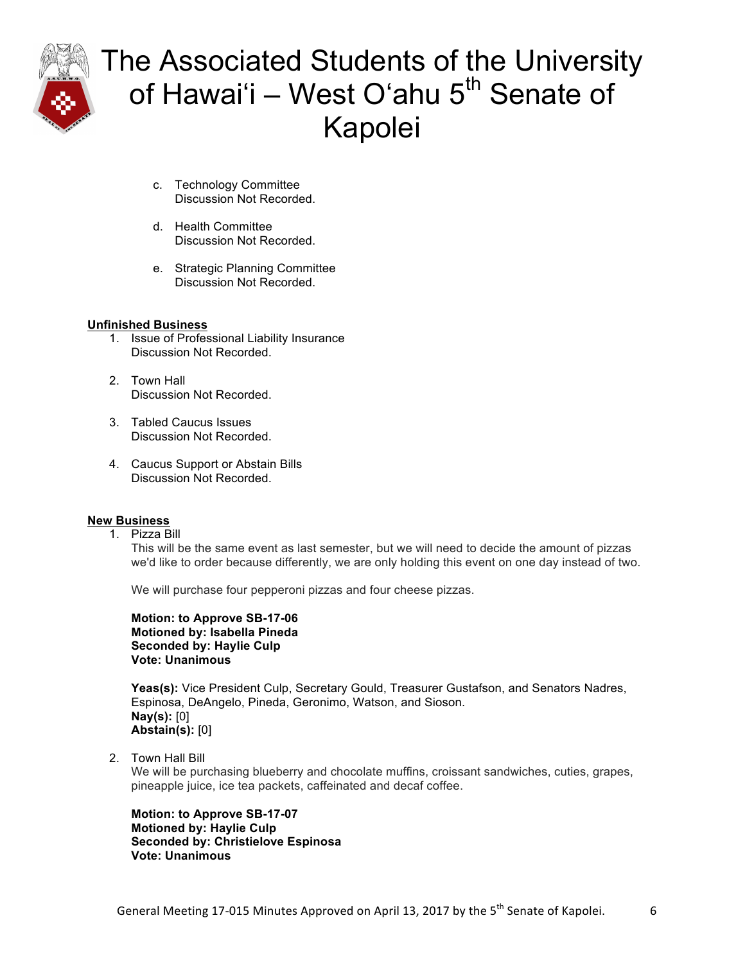

- c. Technology Committee Discussion Not Recorded.
- d. Health Committee Discussion Not Recorded.
- e. Strategic Planning Committee Discussion Not Recorded.

#### **Unfinished Business**

- 1. Issue of Professional Liability Insurance Discussion Not Recorded.
- 2. Town Hall Discussion Not Recorded.
- 3. Tabled Caucus Issues Discussion Not Recorded.
- 4. Caucus Support or Abstain Bills Discussion Not Recorded.

### **New Business**

1. Pizza Bill

This will be the same event as last semester, but we will need to decide the amount of pizzas we'd like to order because differently, we are only holding this event on one day instead of two.

We will purchase four pepperoni pizzas and four cheese pizzas.

**Motion: to Approve SB-17-06 Motioned by: Isabella Pineda Seconded by: Haylie Culp Vote: Unanimous** 

**Yeas(s):** Vice President Culp, Secretary Gould, Treasurer Gustafson, and Senators Nadres, Espinosa, DeAngelo, Pineda, Geronimo, Watson, and Sioson. **Nay(s):** [0] **Abstain(s):** [0]

2. Town Hall Bill

We will be purchasing blueberry and chocolate muffins, croissant sandwiches, cuties, grapes, pineapple juice, ice tea packets, caffeinated and decaf coffee.

**Motion: to Approve SB-17-07 Motioned by: Haylie Culp Seconded by: Christielove Espinosa Vote: Unanimous**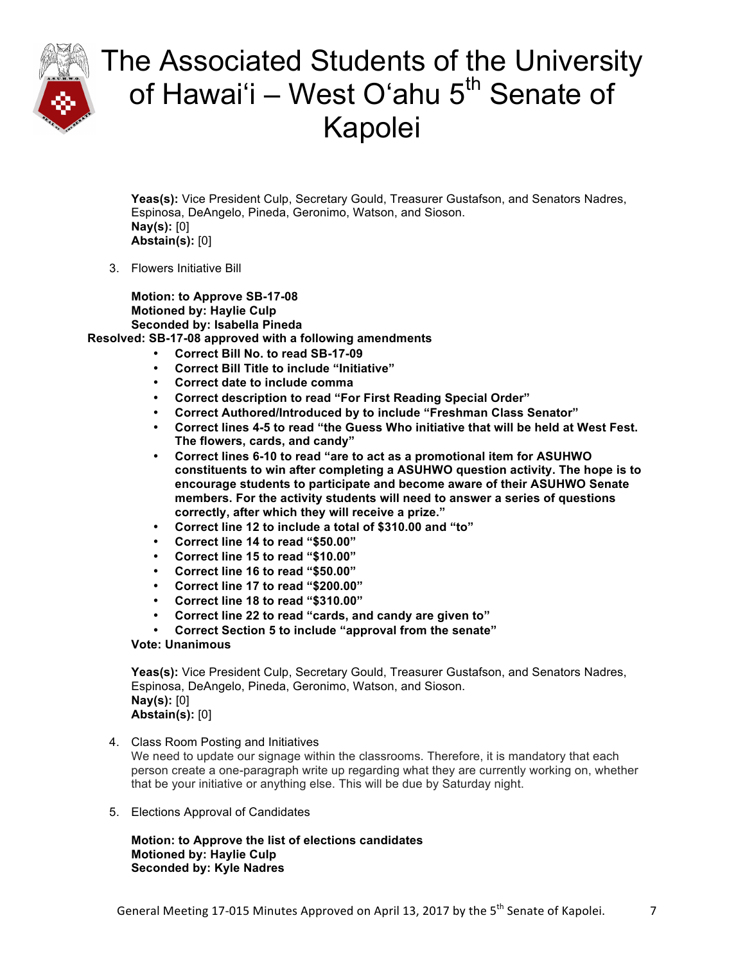

**Yeas(s):** Vice President Culp, Secretary Gould, Treasurer Gustafson, and Senators Nadres, Espinosa, DeAngelo, Pineda, Geronimo, Watson, and Sioson. **Nay(s):** [0] **Abstain(s):** [0]

3. Flowers Initiative Bill

**Motion: to Approve SB-17-08 Motioned by: Haylie Culp Seconded by: Isabella Pineda Resolved: SB-17-08 approved with a following amendments** 

- **Correct Bill No. to read SB-17-09**
- **Correct Bill Title to include "Initiative"**
- **Correct date to include comma**
- **Correct description to read "For First Reading Special Order"**
- **Correct Authored/Introduced by to include "Freshman Class Senator"**
- **Correct lines 4-5 to read "the Guess Who initiative that will be held at West Fest. The flowers, cards, and candy"**
- **Correct lines 6-10 to read "are to act as a promotional item for ASUHWO constituents to win after completing a ASUHWO question activity. The hope is to encourage students to participate and become aware of their ASUHWO Senate members. For the activity students will need to answer a series of questions correctly, after which they will receive a prize."**
- **Correct line 12 to include a total of \$310.00 and "to"**
- **Correct line 14 to read "\$50.00"**
- **Correct line 15 to read "\$10.00"**
- **Correct line 16 to read "\$50.00"**
- **Correct line 17 to read "\$200.00"**
- **Correct line 18 to read "\$310.00"**
- **Correct line 22 to read "cards, and candy are given to"**
- **Correct Section 5 to include "approval from the senate"**

### **Vote: Unanimous**

**Yeas(s):** Vice President Culp, Secretary Gould, Treasurer Gustafson, and Senators Nadres, Espinosa, DeAngelo, Pineda, Geronimo, Watson, and Sioson. **Nay(s):** [0] **Abstain(s):** [0]

4. Class Room Posting and Initiatives

We need to update our signage within the classrooms. Therefore, it is mandatory that each person create a one-paragraph write up regarding what they are currently working on, whether that be your initiative or anything else. This will be due by Saturday night.

5. Elections Approval of Candidates

**Motion: to Approve the list of elections candidates Motioned by: Haylie Culp Seconded by: Kyle Nadres**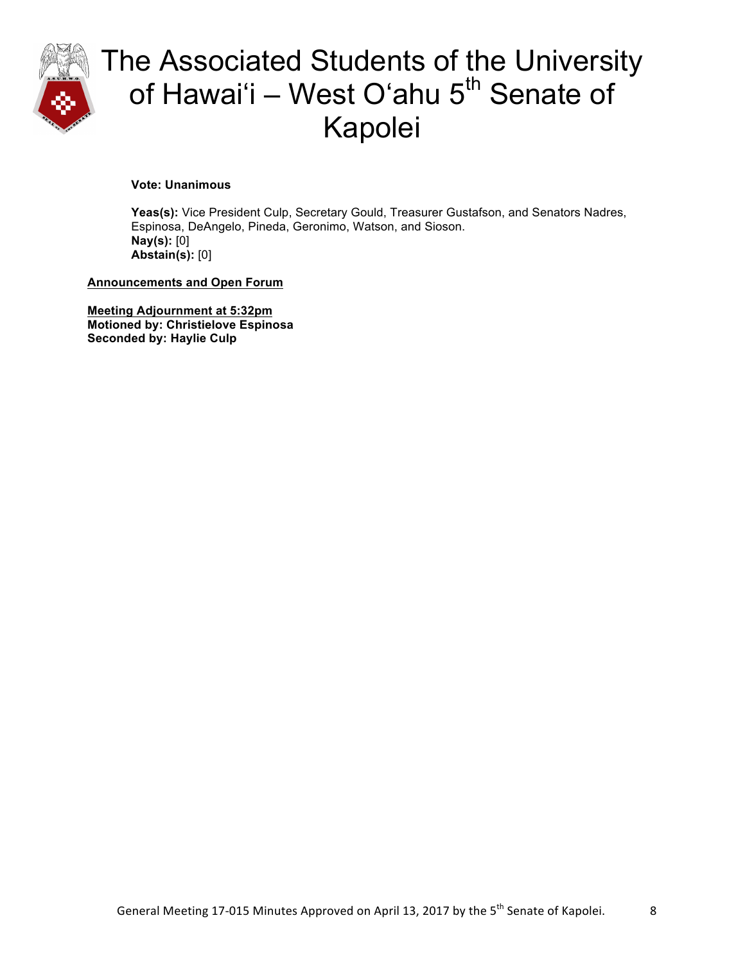

**Vote: Unanimous** 

**Yeas(s):** Vice President Culp, Secretary Gould, Treasurer Gustafson, and Senators Nadres, Espinosa, DeAngelo, Pineda, Geronimo, Watson, and Sioson. **Nay(s):** [0] **Abstain(s):** [0]

**Announcements and Open Forum**

**Meeting Adjournment at 5:32pm Motioned by: Christielove Espinosa Seconded by: Haylie Culp**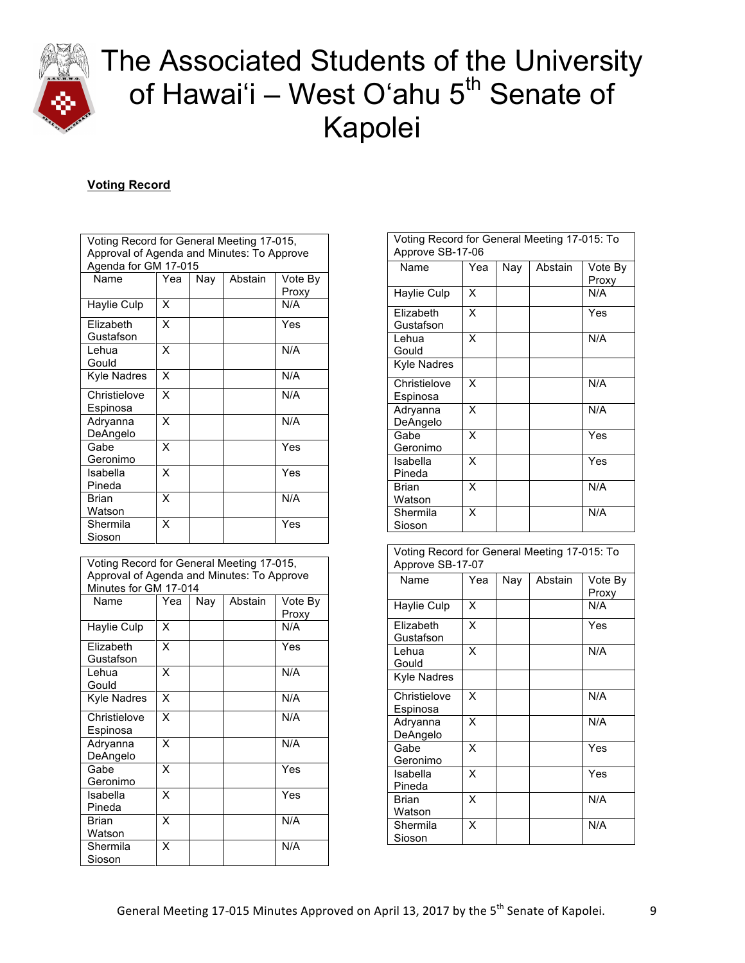

### **Voting Record**

| Voting Record for General Meeting 17-015,<br>Approval of Agenda and Minutes: To Approve |     |     |         |              |  |
|-----------------------------------------------------------------------------------------|-----|-----|---------|--------------|--|
| Agenda for GM 17-015<br>Name                                                            | Yea | Nay | Abstain | Vote By      |  |
| Haylie Culp                                                                             | x   |     |         | Proxy<br>N/A |  |
| Elizabeth<br>Gustafson                                                                  | X   |     |         | Yes          |  |
| Lehua<br>Gould                                                                          | X   |     |         | N/A          |  |
| <b>Kyle Nadres</b>                                                                      | X   |     |         | N/A          |  |
| Christielove<br>Espinosa                                                                | X   |     |         | N/A          |  |
| Adryanna<br>DeAngelo                                                                    | X   |     |         | N/A          |  |
| Gabe<br>Geronimo                                                                        | x   |     |         | Yes          |  |
| Isabella<br>Pineda                                                                      | x   |     |         | Yes          |  |
| <b>Brian</b><br>Watson                                                                  | x   |     |         | N/A          |  |
| Shermila<br>Sioson                                                                      | x   |     |         | Yes          |  |

| Voting Record for General Meeting 17-015,<br>Approval of Agenda and Minutes: To Approve<br>Minutes for GM 17-014 |     |     |         |                  |  |
|------------------------------------------------------------------------------------------------------------------|-----|-----|---------|------------------|--|
| Name                                                                                                             | Yea | Nay | Abstain | Vote By<br>Proxy |  |
| Haylie Culp                                                                                                      | x   |     |         | N/A              |  |
| Elizabeth<br>Gustafson                                                                                           | x   |     |         | Yes              |  |
| I ehua<br>Gould                                                                                                  | X   |     |         | N/A              |  |
| <b>Kyle Nadres</b>                                                                                               | x   |     |         | N/A              |  |
| Christielove<br>Espinosa                                                                                         | x   |     |         | N/A              |  |
| Adryanna<br>DeAngelo                                                                                             | x   |     |         | N/A              |  |
| Gabe<br>Geronimo                                                                                                 | x   |     |         | Yes              |  |
| Isabella<br>Pineda                                                                                               | x   |     |         | Yes              |  |
| <b>Brian</b><br>Watson                                                                                           | x   |     |         | N/A              |  |
| Shermila<br>Sioson                                                                                               | x   |     |         | N/A              |  |

| Voting Record for General Meeting 17-015: To<br>Approve SB-17-06 |     |     |         |                  |
|------------------------------------------------------------------|-----|-----|---------|------------------|
| Name                                                             | Yea | Nay | Abstain | Vote By<br>Proxy |
| Haylie Culp                                                      | x   |     |         | N/A              |
| Flizabeth<br>Gustafson                                           | x   |     |         | Yes              |
| I ehua<br>Gould                                                  | X   |     |         | N/A              |
| <b>Kyle Nadres</b>                                               |     |     |         |                  |
| Christielove<br>Espinosa                                         | x   |     |         | N/A              |
| Adryanna<br>DeAngelo                                             | x   |     |         | N/A              |
| Gabe<br>Geronimo                                                 | x   |     |         | Yes              |
| Isabella<br>Pineda                                               | X   |     |         | Yes              |
| Brian<br>Watson                                                  | x   |     |         | N/A              |
| Shermila<br>Sioson                                               | X   |     |         | N/A              |
|                                                                  |     |     |         |                  |

| Voting Record for General Meeting 17-015: To |
|----------------------------------------------|
| Approve SB-17-07                             |

| Name                     | Yea | Nay | Abstain | Vote By<br>Proxy |
|--------------------------|-----|-----|---------|------------------|
| Haylie Culp              | x   |     |         | N/A              |
| Elizabeth<br>Gustafson   | x   |     |         | Yes              |
| Lehua<br>Gould           | X   |     |         | N/A              |
| Kyle Nadres              |     |     |         |                  |
| Christielove<br>Espinosa | X   |     |         | N/A              |
| Adryanna<br>DeAngelo     | x   |     |         | N/A              |
| Gabe<br>Geronimo         | x   |     |         | Yes              |
| Isabella<br>Pineda       | х   |     |         | Yes              |
| Brian<br>Watson          | x   |     |         | N/A              |
| Shermila<br>Sioson       | x   |     |         | N/A              |